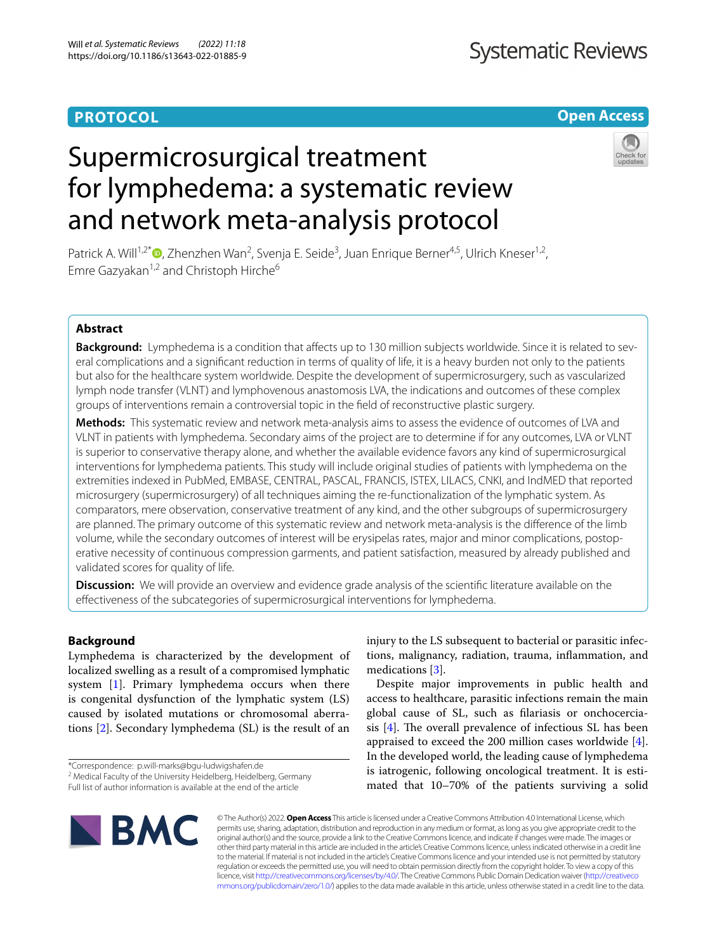# **PROTOCOL**

# **Open Access**

# Supermicrosurgical treatment for lymphedema: a systematic review and network meta-analysis protocol



Patrick A. Will<sup>1,2\*</sup><sup>O</sup>[,](http://orcid.org/0000-0003-3430-1795) Zhenzhen Wan<sup>2</sup>, Svenja E. Seide<sup>3</sup>, Juan Enrique Berner<sup>4,5</sup>, Ulrich Kneser<sup>1,2</sup>, Emre Gazyakan<sup>1,2</sup> and Christoph Hirche<sup>6</sup>

# **Abstract**

**Background:** Lymphedema is a condition that afects up to 130 million subjects worldwide. Since it is related to several complications and a signifcant reduction in terms of quality of life, it is a heavy burden not only to the patients but also for the healthcare system worldwide. Despite the development of supermicrosurgery, such as vascularized lymph node transfer (VLNT) and lymphovenous anastomosis LVA, the indications and outcomes of these complex groups of interventions remain a controversial topic in the feld of reconstructive plastic surgery.

**Methods:** This systematic review and network meta-analysis aims to assess the evidence of outcomes of LVA and VLNT in patients with lymphedema. Secondary aims of the project are to determine if for any outcomes, LVA or VLNT is superior to conservative therapy alone, and whether the available evidence favors any kind of supermicrosurgical interventions for lymphedema patients. This study will include original studies of patients with lymphedema on the extremities indexed in PubMed, EMBASE, CENTRAL, PASCAL, FRANCIS, ISTEX, LILACS, CNKI, and IndMED that reported microsurgery (supermicrosurgery) of all techniques aiming the re-functionalization of the lymphatic system. As comparators, mere observation, conservative treatment of any kind, and the other subgroups of supermicrosurgery are planned. The primary outcome of this systematic review and network meta-analysis is the diference of the limb volume, while the secondary outcomes of interest will be erysipelas rates, major and minor complications, postoperative necessity of continuous compression garments, and patient satisfaction, measured by already published and validated scores for quality of life.

**Discussion:** We will provide an overview and evidence grade analysis of the scientific literature available on the efectiveness of the subcategories of supermicrosurgical interventions for lymphedema.

# **Background**

Lymphedema is characterized by the development of localized swelling as a result of a compromised lymphatic system [[1\]](#page-7-0). Primary lymphedema occurs when there is congenital dysfunction of the lymphatic system (LS) caused by isolated mutations or chromosomal aberrations [\[2\]](#page-7-1). Secondary lymphedema (SL) is the result of an

injury to the LS subsequent to bacterial or parasitic infections, malignancy, radiation, trauma, infammation, and medications [\[3](#page-7-2)].

Despite major improvements in public health and access to healthcare, parasitic infections remain the main global cause of SL, such as flariasis or onchocerciasis  $[4]$  $[4]$ . The overall prevalence of infectious SL has been appraised to exceed the 200 million cases worldwide  $[4]$  $[4]$ . In the developed world, the leading cause of lymphedema is iatrogenic, following oncological treatment. It is estimated that 10–70% of the patients surviving a solid



© The Author(s) 2022. **Open Access** This article is licensed under a Creative Commons Attribution 4.0 International License, which permits use, sharing, adaptation, distribution and reproduction in any medium or format, as long as you give appropriate credit to the original author(s) and the source, provide a link to the Creative Commons licence, and indicate if changes were made. The images or other third party material in this article are included in the article's Creative Commons licence, unless indicated otherwise in a credit line to the material. If material is not included in the article's Creative Commons licence and your intended use is not permitted by statutory regulation or exceeds the permitted use, you will need to obtain permission directly from the copyright holder. To view a copy of this licence, visit [http://creativecommons.org/licenses/by/4.0/.](http://creativecommons.org/licenses/by/4.0/) The Creative Commons Public Domain Dedication waiver ([http://creativeco](http://creativecommons.org/publicdomain/zero/1.0/) [mmons.org/publicdomain/zero/1.0/](http://creativecommons.org/publicdomain/zero/1.0/)) applies to the data made available in this article, unless otherwise stated in a credit line to the data.

<sup>\*</sup>Correspondence: p.will-marks@bgu-ludwigshafen.de

<sup>&</sup>lt;sup>2</sup> Medical Faculty of the University Heidelberg, Heidelberg, Germany

Full list of author information is available at the end of the article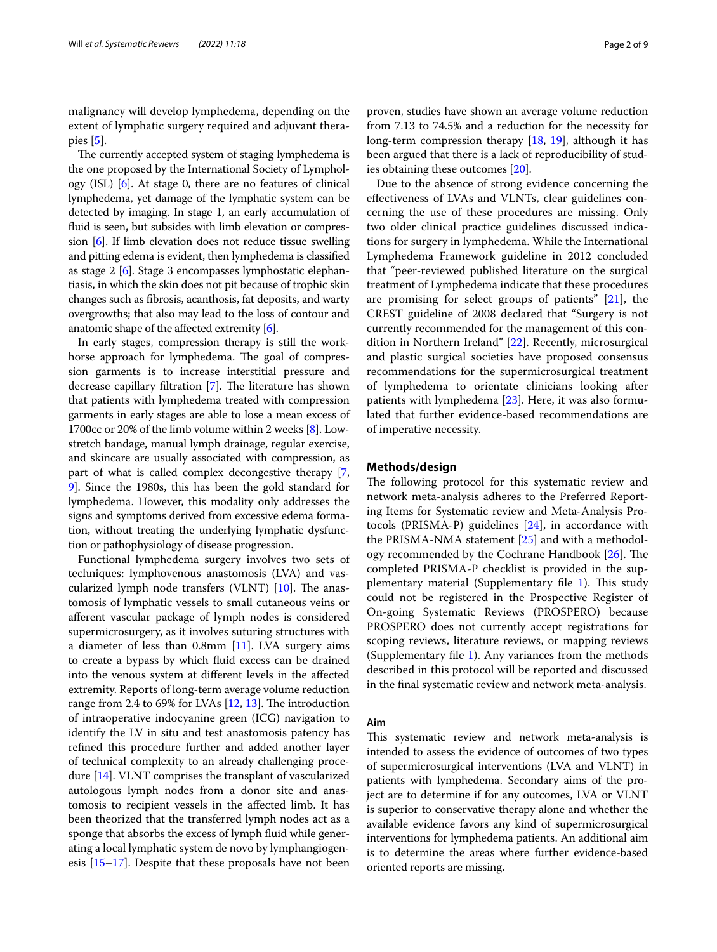malignancy will develop lymphedema, depending on the extent of lymphatic surgery required and adjuvant therapies [\[5](#page-7-4)].

The currently accepted system of staging lymphedema is the one proposed by the International Society of Lymphology (ISL) [[6\]](#page-7-5). At stage 0, there are no features of clinical lymphedema, yet damage of the lymphatic system can be detected by imaging. In stage 1, an early accumulation of fuid is seen, but subsides with limb elevation or compression [[6](#page-7-5)]. If limb elevation does not reduce tissue swelling and pitting edema is evident, then lymphedema is classifed as stage 2 [[6\]](#page-7-5). Stage 3 encompasses lymphostatic elephantiasis, in which the skin does not pit because of trophic skin changes such as fbrosis, acanthosis, fat deposits, and warty overgrowths; that also may lead to the loss of contour and anatomic shape of the afected extremity [\[6](#page-7-5)].

In early stages, compression therapy is still the workhorse approach for lymphedema. The goal of compression garments is to increase interstitial pressure and decrease capillary filtration [\[7](#page-7-6)]. The literature has shown that patients with lymphedema treated with compression garments in early stages are able to lose a mean excess of 1700cc or 20% of the limb volume within 2 weeks [\[8](#page-7-7)]. Lowstretch bandage, manual lymph drainage, regular exercise, and skincare are usually associated with compression, as part of what is called complex decongestive therapy [\[7](#page-7-6), [9\]](#page-7-8). Since the 1980s, this has been the gold standard for lymphedema. However, this modality only addresses the signs and symptoms derived from excessive edema formation, without treating the underlying lymphatic dysfunction or pathophysiology of disease progression.

Functional lymphedema surgery involves two sets of techniques: lymphovenous anastomosis (LVA) and vascularized lymph node transfers (VLNT)  $[10]$  $[10]$  $[10]$ . The anastomosis of lymphatic vessels to small cutaneous veins or aferent vascular package of lymph nodes is considered supermicrosurgery, as it involves suturing structures with a diameter of less than 0.8mm [[11](#page-7-10)]. LVA surgery aims to create a bypass by which fuid excess can be drained into the venous system at diferent levels in the afected extremity. Reports of long-term average volume reduction range from 2.4 to 69% for LVAs  $[12, 13]$  $[12, 13]$  $[12, 13]$  $[12, 13]$ . The introduction of intraoperative indocyanine green (ICG) navigation to identify the LV in situ and test anastomosis patency has refned this procedure further and added another layer of technical complexity to an already challenging procedure [[14\]](#page-7-13). VLNT comprises the transplant of vascularized autologous lymph nodes from a donor site and anastomosis to recipient vessels in the afected limb. It has been theorized that the transferred lymph nodes act as a sponge that absorbs the excess of lymph fuid while generating a local lymphatic system de novo by lymphangiogenesis [[15–](#page-7-14)[17](#page-7-15)]. Despite that these proposals have not been proven, studies have shown an average volume reduction from 7.13 to 74.5% and a reduction for the necessity for long-term compression therapy [[18](#page-7-16), [19](#page-7-17)], although it has been argued that there is a lack of reproducibility of studies obtaining these outcomes [[20](#page-7-18)].

Due to the absence of strong evidence concerning the efectiveness of LVAs and VLNTs, clear guidelines concerning the use of these procedures are missing. Only two older clinical practice guidelines discussed indications for surgery in lymphedema. While the International Lymphedema Framework guideline in 2012 concluded that "peer-reviewed published literature on the surgical treatment of Lymphedema indicate that these procedures are promising for select groups of patients" [\[21\]](#page-7-19), the CREST guideline of 2008 declared that "Surgery is not currently recommended for the management of this condition in Northern Ireland" [\[22](#page-7-20)]. Recently, microsurgical and plastic surgical societies have proposed consensus recommendations for the supermicrosurgical treatment of lymphedema to orientate clinicians looking after patients with lymphedema [\[23](#page-8-0)]. Here, it was also formulated that further evidence-based recommendations are of imperative necessity.

# **Methods/design**

The following protocol for this systematic review and network meta-analysis adheres to the Preferred Reporting Items for Systematic review and Meta-Analysis Protocols (PRISMA-P) guidelines [\[24](#page-8-1)], in accordance with the PRISMA-NMA statement [[25](#page-8-2)] and with a methodology recommended by the Cochrane Handbook  $[26]$ . The completed PRISMA-P checklist is provided in the supplementary material (Supplementary file  $1$ ). This study could not be registered in the Prospective Register of On-going Systematic Reviews (PROSPERO) because PROSPERO does not currently accept registrations for scoping reviews, literature reviews, or mapping reviews (Supplementary fle [1\)](#page-7-21). Any variances from the methods described in this protocol will be reported and discussed in the fnal systematic review and network meta-analysis.

# **Aim**

This systematic review and network meta-analysis is intended to assess the evidence of outcomes of two types of supermicrosurgical interventions (LVA and VLNT) in patients with lymphedema. Secondary aims of the project are to determine if for any outcomes, LVA or VLNT is superior to conservative therapy alone and whether the available evidence favors any kind of supermicrosurgical interventions for lymphedema patients. An additional aim is to determine the areas where further evidence-based oriented reports are missing.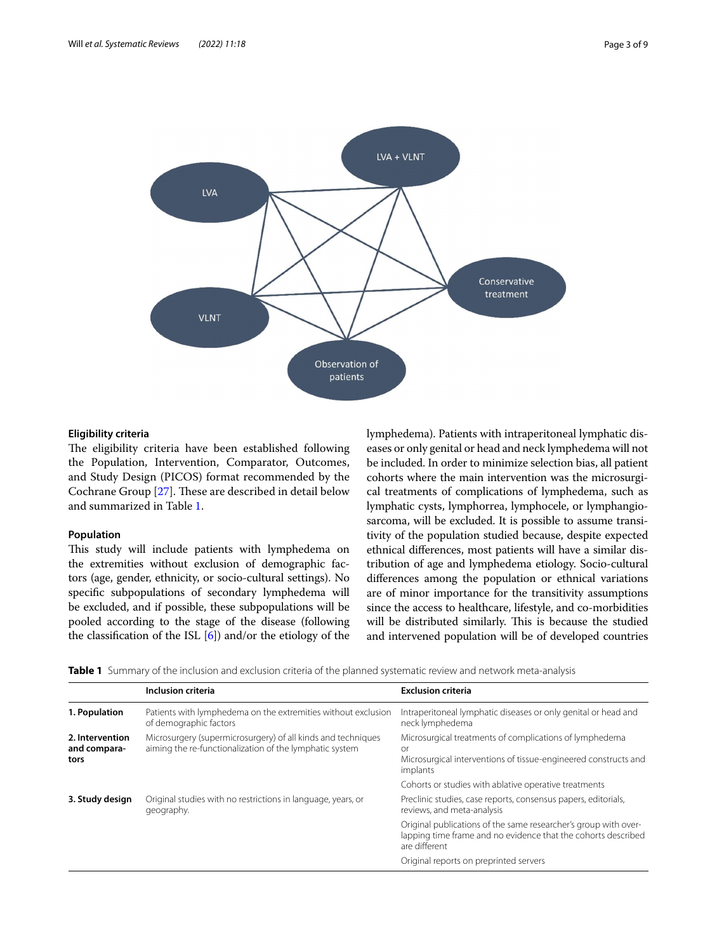

# **Eligibility criteria**

The eligibility criteria have been established following the Population, Intervention, Comparator, Outcomes, and Study Design (PICOS) format recommended by the Cochrane Group [[27\]](#page-8-4). These are described in detail below and summarized in Table [1](#page-2-0).

# **Population**

This study will include patients with lymphedema on the extremities without exclusion of demographic factors (age, gender, ethnicity, or socio-cultural settings). No specifc subpopulations of secondary lymphedema will be excluded, and if possible, these subpopulations will be pooled according to the stage of the disease (following the classifcation of the ISL [[6](#page-7-5)]) and/or the etiology of the lymphedema). Patients with intraperitoneal lymphatic diseases or only genital or head and neck lymphedema will not be included. In order to minimize selection bias, all patient cohorts where the main intervention was the microsurgical treatments of complications of lymphedema, such as lymphatic cysts, lymphorrea, lymphocele, or lymphangiosarcoma, will be excluded. It is possible to assume transitivity of the population studied because, despite expected ethnical diferences, most patients will have a similar distribution of age and lymphedema etiology. Socio-cultural diferences among the population or ethnical variations are of minor importance for the transitivity assumptions since the access to healthcare, lifestyle, and co-morbidities will be distributed similarly. This is because the studied and intervened population will be of developed countries

<span id="page-2-0"></span>**Table 1** Summary of the inclusion and exclusion criteria of the planned systematic review and network meta-analysis

|                                         | Inclusion criteria                                                                                                      | <b>Exclusion criteria</b>                                                                                                                           |
|-----------------------------------------|-------------------------------------------------------------------------------------------------------------------------|-----------------------------------------------------------------------------------------------------------------------------------------------------|
| 1. Population                           | Patients with lymphedema on the extremities without exclusion<br>of demographic factors                                 | Intraperitoneal lymphatic diseases or only genital or head and<br>neck lymphedema                                                                   |
| 2. Intervention<br>and compara-<br>tors | Microsurgery (supermicrosurgery) of all kinds and techniques<br>aiming the re-functionalization of the lymphatic system | Microsurgical treatments of complications of lymphedema<br><b>or</b><br>Microsurgical interventions of tissue-engineered constructs and<br>implants |
|                                         |                                                                                                                         | Cohorts or studies with ablative operative treatments                                                                                               |
| 3. Study design                         | Original studies with no restrictions in language, years, or<br>geography.                                              | Preclinic studies, case reports, consensus papers, editorials,<br>reviews, and meta-analysis                                                        |
|                                         |                                                                                                                         | Original publications of the same researcher's group with over-<br>lapping time frame and no evidence that the cohorts described<br>are different   |
|                                         |                                                                                                                         | Original reports on preprinted servers                                                                                                              |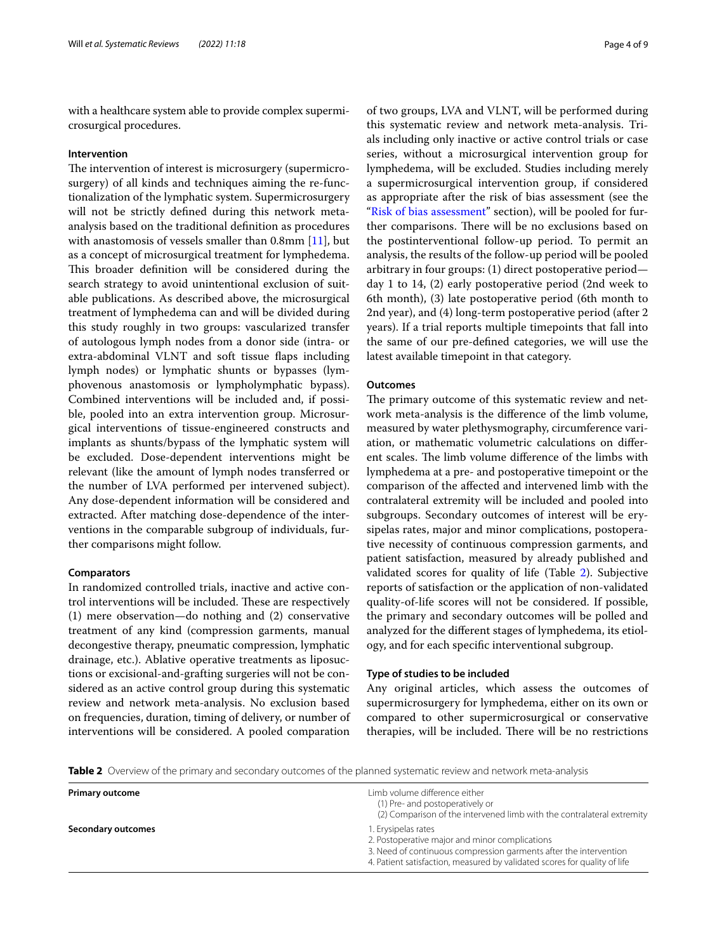with a healthcare system able to provide complex supermicrosurgical procedures.

#### **Intervention**

The intervention of interest is microsurgery (supermicrosurgery) of all kinds and techniques aiming the re-functionalization of the lymphatic system. Supermicrosurgery will not be strictly defned during this network metaanalysis based on the traditional defnition as procedures with anastomosis of vessels smaller than  $0.8$ mm  $[11]$  $[11]$ , but as a concept of microsurgical treatment for lymphedema. This broader definition will be considered during the search strategy to avoid unintentional exclusion of suitable publications. As described above, the microsurgical treatment of lymphedema can and will be divided during this study roughly in two groups: vascularized transfer of autologous lymph nodes from a donor side (intra- or extra-abdominal VLNT and soft tissue faps including lymph nodes) or lymphatic shunts or bypasses (lymphovenous anastomosis or lympholymphatic bypass). Combined interventions will be included and, if possible, pooled into an extra intervention group. Microsurgical interventions of tissue-engineered constructs and implants as shunts/bypass of the lymphatic system will be excluded. Dose-dependent interventions might be relevant (like the amount of lymph nodes transferred or the number of LVA performed per intervened subject). Any dose-dependent information will be considered and extracted. After matching dose-dependence of the interventions in the comparable subgroup of individuals, further comparisons might follow.

## **Comparators**

In randomized controlled trials, inactive and active control interventions will be included. These are respectively (1) mere observation—do nothing and (2) conservative treatment of any kind (compression garments, manual decongestive therapy, pneumatic compression, lymphatic drainage, etc.). Ablative operative treatments as liposuctions or excisional-and-grafting surgeries will not be considered as an active control group during this systematic review and network meta-analysis. No exclusion based on frequencies, duration, timing of delivery, or number of interventions will be considered. A pooled comparation of two groups, LVA and VLNT, will be performed during this systematic review and network meta-analysis. Trials including only inactive or active control trials or case series, without a microsurgical intervention group for lymphedema, will be excluded. Studies including merely a supermicrosurgical intervention group, if considered as appropriate after the risk of bias assessment (see the ["Risk of bias assessment"](#page-5-0) section), will be pooled for further comparisons. There will be no exclusions based on the postinterventional follow-up period. To permit an analysis, the results of the follow-up period will be pooled arbitrary in four groups: (1) direct postoperative period day 1 to 14, (2) early postoperative period (2nd week to 6th month), (3) late postoperative period (6th month to 2nd year), and (4) long-term postoperative period (after 2 years). If a trial reports multiple timepoints that fall into the same of our pre-defned categories, we will use the latest available timepoint in that category.

# **Outcomes**

The primary outcome of this systematic review and network meta-analysis is the diference of the limb volume, measured by water plethysmography, circumference variation, or mathematic volumetric calculations on diferent scales. The limb volume difference of the limbs with lymphedema at a pre- and postoperative timepoint or the comparison of the afected and intervened limb with the contralateral extremity will be included and pooled into subgroups. Secondary outcomes of interest will be erysipelas rates, major and minor complications, postoperative necessity of continuous compression garments, and patient satisfaction, measured by already published and validated scores for quality of life (Table [2](#page-3-0)). Subjective reports of satisfaction or the application of non-validated quality-of-life scores will not be considered. If possible, the primary and secondary outcomes will be polled and analyzed for the diferent stages of lymphedema, its etiology, and for each specifc interventional subgroup.

#### **Type of studies to be included**

Any original articles, which assess the outcomes of supermicrosurgery for lymphedema, either on its own or compared to other supermicrosurgical or conservative therapies, will be included. There will be no restrictions

<span id="page-3-0"></span>**Table 2** Overview of the primary and secondary outcomes of the planned systematic review and network meta-analysis

| <b>Primary outcome</b> | Limb volume difference either<br>(1) Pre- and postoperatively or<br>(2) Comparison of the intervened limb with the contralateral extremity                                                                              |
|------------------------|-------------------------------------------------------------------------------------------------------------------------------------------------------------------------------------------------------------------------|
| Secondary outcomes     | 1. Erysipelas rates<br>2. Postoperative major and minor complications<br>3. Need of continuous compression garments after the intervention<br>4. Patient satisfaction, measured by validated scores for quality of life |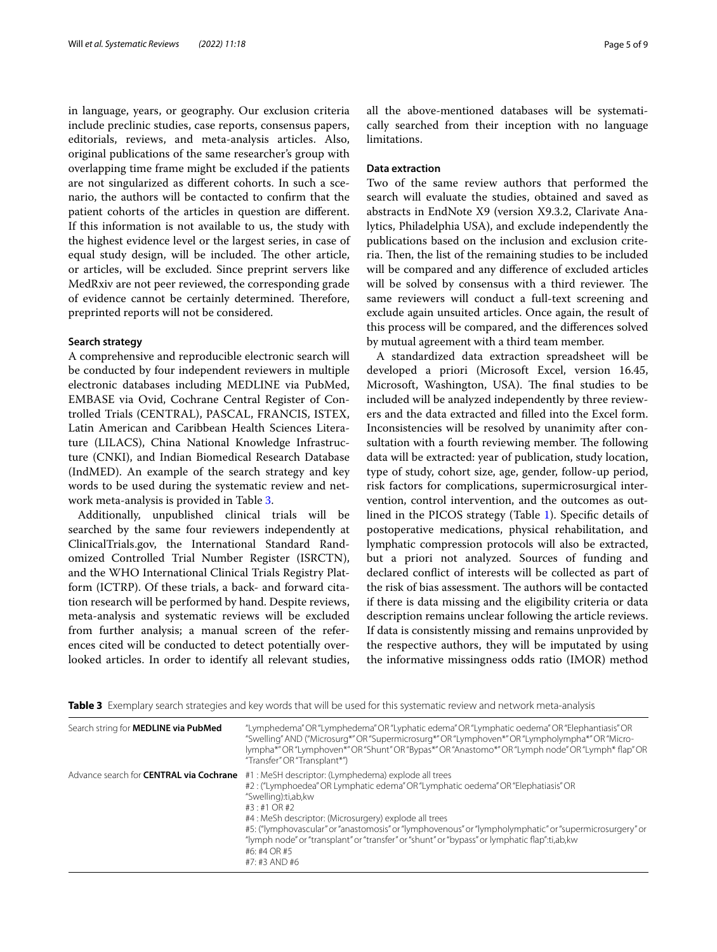in language, years, or geography. Our exclusion criteria include preclinic studies, case reports, consensus papers, editorials, reviews, and meta-analysis articles. Also, original publications of the same researcher's group with overlapping time frame might be excluded if the patients are not singularized as diferent cohorts. In such a scenario, the authors will be contacted to confrm that the patient cohorts of the articles in question are diferent. If this information is not available to us, the study with the highest evidence level or the largest series, in case of equal study design, will be included. The other article, or articles, will be excluded. Since preprint servers like MedRxiv are not peer reviewed, the corresponding grade of evidence cannot be certainly determined. Therefore, preprinted reports will not be considered.

## **Search strategy**

A comprehensive and reproducible electronic search will be conducted by four independent reviewers in multiple electronic databases including MEDLINE via PubMed, EMBASE via Ovid, Cochrane Central Register of Controlled Trials (CENTRAL), PASCAL, FRANCIS, ISTEX, Latin American and Caribbean Health Sciences Literature (LILACS), China National Knowledge Infrastructure (CNKI), and Indian Biomedical Research Database (IndMED). An example of the search strategy and key words to be used during the systematic review and network meta-analysis is provided in Table [3](#page-4-0).

Additionally, unpublished clinical trials will be searched by the same four reviewers independently at ClinicalTrials.gov, the International Standard Randomized Controlled Trial Number Register (ISRCTN), and the WHO International Clinical Trials Registry Platform (ICTRP). Of these trials, a back- and forward citation research will be performed by hand. Despite reviews, meta-analysis and systematic reviews will be excluded from further analysis; a manual screen of the references cited will be conducted to detect potentially overlooked articles. In order to identify all relevant studies, all the above-mentioned databases will be systematically searched from their inception with no language limitations.

# **Data extraction**

Two of the same review authors that performed the search will evaluate the studies, obtained and saved as abstracts in EndNote X9 (version X9.3.2, Clarivate Analytics, Philadelphia USA), and exclude independently the publications based on the inclusion and exclusion criteria. Then, the list of the remaining studies to be included will be compared and any diference of excluded articles will be solved by consensus with a third reviewer. The same reviewers will conduct a full-text screening and exclude again unsuited articles. Once again, the result of this process will be compared, and the diferences solved by mutual agreement with a third team member.

A standardized data extraction spreadsheet will be developed a priori (Microsoft Excel, version 16.45, Microsoft, Washington, USA). The final studies to be included will be analyzed independently by three reviewers and the data extracted and flled into the Excel form. Inconsistencies will be resolved by unanimity after consultation with a fourth reviewing member. The following data will be extracted: year of publication, study location, type of study, cohort size, age, gender, follow-up period, risk factors for complications, supermicrosurgical intervention, control intervention, and the outcomes as outlined in the PICOS strategy (Table [1\)](#page-2-0). Specifc details of postoperative medications, physical rehabilitation, and lymphatic compression protocols will also be extracted, but a priori not analyzed. Sources of funding and declared confict of interests will be collected as part of the risk of bias assessment. The authors will be contacted if there is data missing and the eligibility criteria or data description remains unclear following the article reviews. If data is consistently missing and remains unprovided by the respective authors, they will be imputated by using the informative missingness odds ratio (IMOR) method

<span id="page-4-0"></span>

| Search string for <b>MEDLINE via PubMed</b>    | "Lymphedema" OR "Lymphedema" OR "Lyphatic edema" OR "Lymphatic oedema" OR "Elephantiasis" OR<br>"Swelling" AND ("Microsurg*" OR "Supermicrosurg*" OR "Lymphoven*" OR "Lympholympha*" OR "Micro-<br>lympha*"OR"Lymphoven*"OR"Shunt"OR"Bypas*"OR"Anastomo*"OR "Lymph node"OR"Lymph* flap"OR<br>"Transfer" OR "Transplant*")                                                                                                                                                            |
|------------------------------------------------|--------------------------------------------------------------------------------------------------------------------------------------------------------------------------------------------------------------------------------------------------------------------------------------------------------------------------------------------------------------------------------------------------------------------------------------------------------------------------------------|
| Advance search for <b>CENTRAL via Cochrane</b> | #1: MeSH descriptor: (Lymphedema) explode all trees<br>#2: ("Lymphoedea" OR Lymphatic edema" OR "Lymphatic oedema" OR "Elephatiasis" OR<br>"Swelling):ti,ab,kw<br>#3:#1 OR #2<br>#4 : MeSh descriptor: (Microsurgery) explode all trees<br>#5: ("lymphovascular" or "anastomosis" or "lymphovenous" or "lympholymphatic" or "supermicrosurgery" or<br>"lymph node" or "transplant" or "transfer" or "shunt" or "bypass" or lymphatic flap":ti,ab,kw<br>#6: #4 OR #5<br>#7: #3 AND #6 |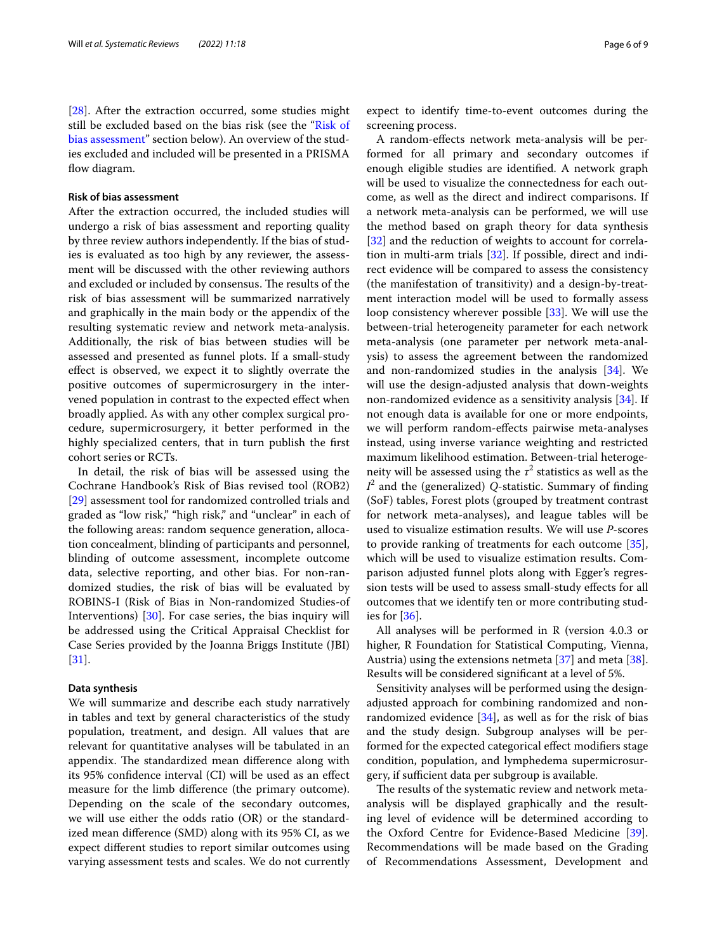[[28\]](#page-8-5). After the extraction occurred, some studies might still be excluded based on the bias risk (see the "[Risk of](#page-5-0)  [bias assessment"](#page-5-0) section below). An overview of the studies excluded and included will be presented in a PRISMA flow diagram.

# <span id="page-5-0"></span>**Risk of bias assessment**

After the extraction occurred, the included studies will undergo a risk of bias assessment and reporting quality by three review authors independently. If the bias of studies is evaluated as too high by any reviewer, the assessment will be discussed with the other reviewing authors and excluded or included by consensus. The results of the risk of bias assessment will be summarized narratively and graphically in the main body or the appendix of the resulting systematic review and network meta-analysis. Additionally, the risk of bias between studies will be assessed and presented as funnel plots. If a small-study efect is observed, we expect it to slightly overrate the positive outcomes of supermicrosurgery in the intervened population in contrast to the expected efect when broadly applied. As with any other complex surgical procedure, supermicrosurgery, it better performed in the highly specialized centers, that in turn publish the frst cohort series or RCTs.

In detail, the risk of bias will be assessed using the Cochrane Handbook's Risk of Bias revised tool (ROB2) [[29\]](#page-8-6) assessment tool for randomized controlled trials and graded as "low risk," "high risk," and "unclear" in each of the following areas: random sequence generation, allocation concealment, blinding of participants and personnel, blinding of outcome assessment, incomplete outcome data, selective reporting, and other bias. For non-randomized studies, the risk of bias will be evaluated by ROBINS-I (Risk of Bias in Non-randomized Studies-of Interventions) [\[30](#page-8-7)]. For case series, the bias inquiry will be addressed using the Critical Appraisal Checklist for Case Series provided by the Joanna Briggs Institute (JBI) [[31\]](#page-8-8).

## **Data synthesis**

We will summarize and describe each study narratively in tables and text by general characteristics of the study population, treatment, and design. All values that are relevant for quantitative analyses will be tabulated in an appendix. The standardized mean difference along with its 95% confdence interval (CI) will be used as an efect measure for the limb diference (the primary outcome). Depending on the scale of the secondary outcomes, we will use either the odds ratio (OR) or the standardized mean diference (SMD) along with its 95% CI, as we expect diferent studies to report similar outcomes using varying assessment tests and scales. We do not currently expect to identify time-to-event outcomes during the screening process.

A random-efects network meta-analysis will be performed for all primary and secondary outcomes if enough eligible studies are identifed. A network graph will be used to visualize the connectedness for each outcome, as well as the direct and indirect comparisons. If a network meta-analysis can be performed, we will use the method based on graph theory for data synthesis [[32\]](#page-8-9) and the reduction of weights to account for correlation in multi-arm trials [[32](#page-8-9)]. If possible, direct and indirect evidence will be compared to assess the consistency (the manifestation of transitivity) and a design-by-treatment interaction model will be used to formally assess loop consistency wherever possible [\[33](#page-8-10)]. We will use the between-trial heterogeneity parameter for each network meta-analysis (one parameter per network meta-analysis) to assess the agreement between the randomized and non-randomized studies in the analysis [\[34](#page-8-11)]. We will use the design-adjusted analysis that down-weights non-randomized evidence as a sensitivity analysis [\[34](#page-8-11)]. If not enough data is available for one or more endpoints, we will perform random-efects pairwise meta-analyses instead, using inverse variance weighting and restricted maximum likelihood estimation. Between-trial heterogeneity will be assessed using the  $\tau^2$  statistics as well as the *I* 2 and the (generalized) *Q*-statistic. Summary of fnding (SoF) tables, Forest plots (grouped by treatment contrast for network meta-analyses), and league tables will be used to visualize estimation results. We will use *P*-scores to provide ranking of treatments for each outcome [\[35](#page-8-12)], which will be used to visualize estimation results. Comparison adjusted funnel plots along with Egger's regression tests will be used to assess small-study efects for all outcomes that we identify ten or more contributing studies for [\[36](#page-8-13)].

All analyses will be performed in R (version 4.0.3 or higher, R Foundation for Statistical Computing, Vienna, Austria) using the extensions netmeta [\[37](#page-8-14)] and meta [\[38](#page-8-15)]. Results will be considered signifcant at a level of 5%.

Sensitivity analyses will be performed using the designadjusted approach for combining randomized and nonrandomized evidence  $[34]$  $[34]$ , as well as for the risk of bias and the study design. Subgroup analyses will be performed for the expected categorical efect modifers stage condition, population, and lymphedema supermicrosurgery, if sufficient data per subgroup is available.

The results of the systematic review and network metaanalysis will be displayed graphically and the resulting level of evidence will be determined according to the Oxford Centre for Evidence-Based Medicine [\[39](#page-8-16)]. Recommendations will be made based on the Grading of Recommendations Assessment, Development and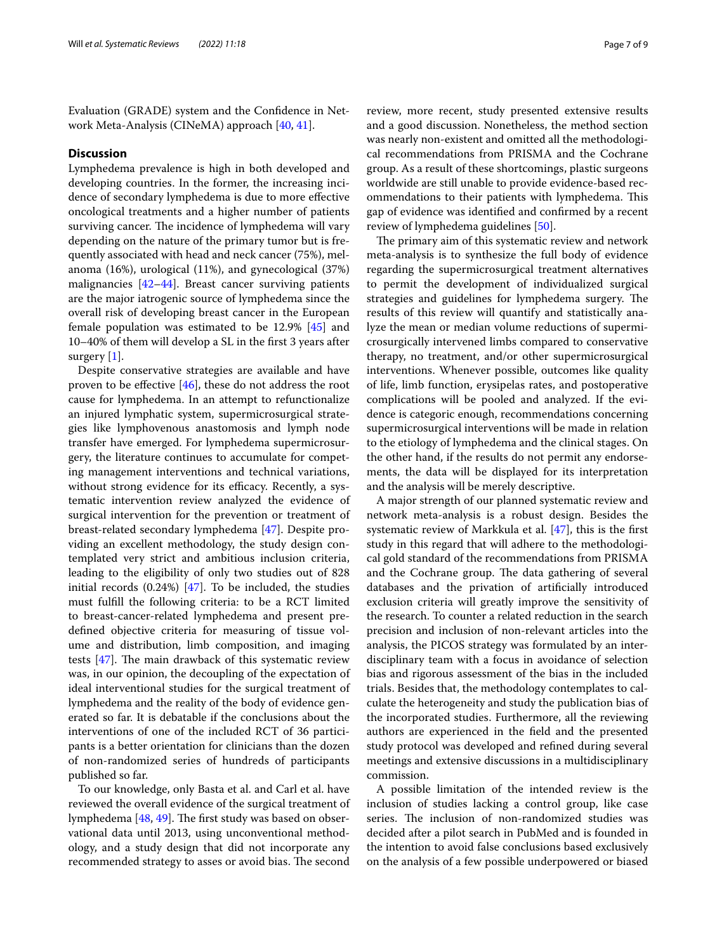Evaluation (GRADE) system and the Confdence in Network Meta-Analysis (CINeMA) approach [\[40,](#page-8-17) [41](#page-8-18)].

#### **Discussion**

Lymphedema prevalence is high in both developed and developing countries. In the former, the increasing incidence of secondary lymphedema is due to more efective oncological treatments and a higher number of patients surviving cancer. The incidence of lymphedema will vary depending on the nature of the primary tumor but is frequently associated with head and neck cancer (75%), melanoma (16%), urological (11%), and gynecological (37%) malignancies [[42–](#page-8-19)[44\]](#page-8-20). Breast cancer surviving patients are the major iatrogenic source of lymphedema since the overall risk of developing breast cancer in the European female population was estimated to be 12.9% [\[45\]](#page-8-21) and 10–40% of them will develop a SL in the frst 3 years after surgery [[1\]](#page-7-0).

Despite conservative strategies are available and have proven to be efective [[46\]](#page-8-22), these do not address the root cause for lymphedema. In an attempt to refunctionalize an injured lymphatic system, supermicrosurgical strategies like lymphovenous anastomosis and lymph node transfer have emerged. For lymphedema supermicrosurgery, the literature continues to accumulate for competing management interventions and technical variations, without strong evidence for its efficacy. Recently, a systematic intervention review analyzed the evidence of surgical intervention for the prevention or treatment of breast-related secondary lymphedema [\[47](#page-8-23)]. Despite providing an excellent methodology, the study design contemplated very strict and ambitious inclusion criteria, leading to the eligibility of only two studies out of 828 initial records  $(0.24%)$  [\[47\]](#page-8-23). To be included, the studies must fulfll the following criteria: to be a RCT limited to breast-cancer-related lymphedema and present predefned objective criteria for measuring of tissue volume and distribution, limb composition, and imaging tests  $[47]$ . The main drawback of this systematic review was, in our opinion, the decoupling of the expectation of ideal interventional studies for the surgical treatment of lymphedema and the reality of the body of evidence generated so far. It is debatable if the conclusions about the interventions of one of the included RCT of 36 participants is a better orientation for clinicians than the dozen of non-randomized series of hundreds of participants published so far.

To our knowledge, only Basta et al. and Carl et al. have reviewed the overall evidence of the surgical treatment of lymphedema  $[48, 49]$  $[48, 49]$  $[48, 49]$ . The first study was based on observational data until 2013, using unconventional methodology, and a study design that did not incorporate any recommended strategy to asses or avoid bias. The second review, more recent, study presented extensive results and a good discussion. Nonetheless, the method section was nearly non-existent and omitted all the methodological recommendations from PRISMA and the Cochrane group. As a result of these shortcomings, plastic surgeons worldwide are still unable to provide evidence-based recommendations to their patients with lymphedema. This gap of evidence was identifed and confrmed by a recent review of lymphedema guidelines [[50\]](#page-8-26).

The primary aim of this systematic review and network meta-analysis is to synthesize the full body of evidence regarding the supermicrosurgical treatment alternatives to permit the development of individualized surgical strategies and guidelines for lymphedema surgery. The results of this review will quantify and statistically analyze the mean or median volume reductions of supermicrosurgically intervened limbs compared to conservative therapy, no treatment, and/or other supermicrosurgical interventions. Whenever possible, outcomes like quality of life, limb function, erysipelas rates, and postoperative complications will be pooled and analyzed. If the evidence is categoric enough, recommendations concerning supermicrosurgical interventions will be made in relation to the etiology of lymphedema and the clinical stages. On the other hand, if the results do not permit any endorsements, the data will be displayed for its interpretation and the analysis will be merely descriptive.

A major strength of our planned systematic review and network meta-analysis is a robust design. Besides the systematic review of Markkula et al. [[47](#page-8-23)], this is the frst study in this regard that will adhere to the methodological gold standard of the recommendations from PRISMA and the Cochrane group. The data gathering of several databases and the privation of artifcially introduced exclusion criteria will greatly improve the sensitivity of the research. To counter a related reduction in the search precision and inclusion of non-relevant articles into the analysis, the PICOS strategy was formulated by an interdisciplinary team with a focus in avoidance of selection bias and rigorous assessment of the bias in the included trials. Besides that, the methodology contemplates to calculate the heterogeneity and study the publication bias of the incorporated studies. Furthermore, all the reviewing authors are experienced in the feld and the presented study protocol was developed and refned during several meetings and extensive discussions in a multidisciplinary commission.

A possible limitation of the intended review is the inclusion of studies lacking a control group, like case series. The inclusion of non-randomized studies was decided after a pilot search in PubMed and is founded in the intention to avoid false conclusions based exclusively on the analysis of a few possible underpowered or biased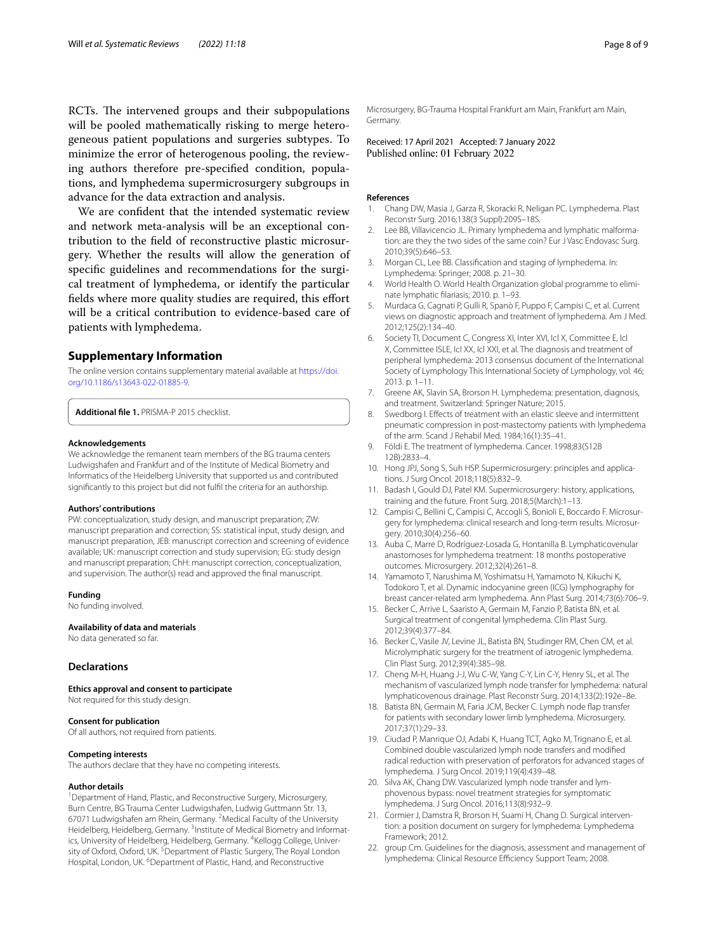RCTs. The intervened groups and their subpopulations will be pooled mathematically risking to merge heterogeneous patient populations and surgeries subtypes. To minimize the error of heterogenous pooling, the reviewing authors therefore pre-specifed condition, populations, and lymphedema supermicrosurgery subgroups in advance for the data extraction and analysis.

We are confdent that the intended systematic review and network meta-analysis will be an exceptional contribution to the feld of reconstructive plastic microsurgery. Whether the results will allow the generation of specifc guidelines and recommendations for the surgical treatment of lymphedema, or identify the particular fields where more quality studies are required, this effort will be a critical contribution to evidence-based care of patients with lymphedema.

## **Supplementary Information**

The online version contains supplementary material available at [https://doi.](https://doi.org/10.1186/s13643-022-01885-9) [org/10.1186/s13643-022-01885-9](https://doi.org/10.1186/s13643-022-01885-9).

<span id="page-7-21"></span>**Additional fle 1.** PRISMA-P 2015 checklist.

#### **Acknowledgements**

We acknowledge the remanent team members of the BG trauma centers Ludwigshafen and Frankfurt and of the Institute of Medical Biometry and Informatics of the Heidelberg University that supported us and contributed signifcantly to this project but did not fulfl the criteria for an authorship.

#### **Authors' contributions**

PW: conceptualization, study design, and manuscript preparation; ZW: manuscript preparation and correction; SS: statistical input, study design, and manuscript preparation, JEB: manuscript correction and screening of evidence available; UK: manuscript correction and study supervision; EG: study design and manuscript preparation; ChH: manuscript correction, conceptualization, and supervision. The author(s) read and approved the fnal manuscript.

#### **Funding**

No funding involved.

#### **Availability of data and materials**

No data generated so far.

#### **Declarations**

**Ethics approval and consent to participate**

Not required for this study design.

#### **Consent for publication**

Of all authors, not required from patients.

#### **Competing interests**

The authors declare that they have no competing interests.

#### **Author details**

<sup>1</sup> Department of Hand, Plastic, and Reconstructive Surgery, Microsurgery, Burn Centre, BG Trauma Center Ludwigshafen, Ludwig Guttmann Str. 13, 67071 Ludwigshafen am Rhein, Germany. <sup>2</sup>Medical Faculty of the University Heidelberg, Heidelberg, Germany. <sup>3</sup>Institute of Medical Biometry and Informatics, University of Heidelberg, Heidelberg, Germany. <sup>4</sup>Kellogg College, University of Oxford, Oxford, UK. <sup>5</sup> Department of Plastic Surgery, The Royal London Hospital, London, UK. <sup>6</sup>Department of Plastic, Hand, and Reconstructive

Microsurgery, BG-Trauma Hospital Frankfurt am Main, Frankfurt am Main, Germany.

Received: 17 April 2021 Accepted: 7 January 2022<br>Published online: 01 February 2022

#### **References**

- <span id="page-7-0"></span>1. Chang DW, Masia J, Garza R, Skoracki R, Neligan PC. Lymphedema. Plast Reconstr Surg. 2016;138(3 Suppl):209S–18S.
- <span id="page-7-1"></span>2. Lee BB, Villavicencio JL. Primary lymphedema and lymphatic malformation: are they the two sides of the same coin? Eur J Vasc Endovasc Surg. 2010;39(5):646–53.
- <span id="page-7-2"></span>3. Morgan CL, Lee BB. Classifcation and staging of lymphedema. In: Lymphedema: Springer; 2008. p. 21–30.
- <span id="page-7-3"></span>4. World Health O. World Health Organization global programme to eliminate lymphatic flariasis; 2010. p. 1–93.
- <span id="page-7-4"></span>5. Murdaca G, Cagnati P, Gulli R, Spanò F, Puppo F, Campisi C, et al. Current views on diagnostic approach and treatment of lymphedema. Am J Med. 2012;125(2):134–40.
- <span id="page-7-5"></span>6. Society TI, Document C, Congress XI, Inter XVI, Icl X, Committee E, Icl X, Committee ISLE, Icl XX, Icl XXI, et al. The diagnosis and treatment of peripheral lymphedema: 2013 consensus document of the International Society of Lymphology This International Society of Lymphology, vol. 46; 2013. p. 1–11.
- <span id="page-7-6"></span>7. Greene AK, Slavin SA, Brorson H. Lymphedema: presentation, diagnosis, and treatment. Switzerland: Springer Nature; 2015.
- <span id="page-7-7"></span>8. Swedborg I. Efects of treatment with an elastic sleeve and intermittent pneumatic compression in post-mastectomy patients with lymphedema of the arm. Scand J Rehabil Med. 1984;16(1):35–41.
- <span id="page-7-8"></span>9. Földi E. The treatment of lymphedema. Cancer. 1998;83(S12B 12B):2833–4.
- <span id="page-7-9"></span>10. Hong JPJ, Song S, Suh HSP. Supermicrosurgery: principles and applications. J Surg Oncol. 2018;118(5):832–9.
- <span id="page-7-10"></span>11. Badash I, Gould DJ, Patel KM. Supermicrosurgery: history, applications, training and the future. Front Surg. 2018;5(March):1–13.
- <span id="page-7-11"></span>12. Campisi C, Bellini C, Campisi C, Accogli S, Bonioli E, Boccardo F. Microsurgery for lymphedema: clinical research and long-term results. Microsurgery. 2010;30(4):256–60.
- <span id="page-7-12"></span>13. Auba C, Marre D, Rodríguez-Losada G, Hontanilla B. Lymphaticovenular anastomoses for lymphedema treatment: 18 months postoperative outcomes. Microsurgery. 2012;32(4):261–8.
- <span id="page-7-13"></span>14. Yamamoto T, Narushima M, Yoshimatsu H, Yamamoto N, Kikuchi K, Todokoro T, et al. Dynamic indocyanine green (ICG) lymphography for breast cancer-related arm lymphedema. Ann Plast Surg. 2014;73(6):706–9.
- <span id="page-7-14"></span>15. Becker C, Arrive L, Saaristo A, Germain M, Fanzio P, Batista BN, et al. Surgical treatment of congenital lymphedema. Clin Plast Surg. 2012;39(4):377–84.
- 16. Becker C, Vasile JV, Levine JL, Batista BN, Studinger RM, Chen CM, et al. Microlymphatic surgery for the treatment of iatrogenic lymphedema. Clin Plast Surg. 2012;39(4):385–98.
- <span id="page-7-15"></span>17. Cheng M-H, Huang J-J, Wu C-W, Yang C-Y, Lin C-Y, Henry SL, et al. The mechanism of vascularized lymph node transfer for lymphedema: natural lymphaticovenous drainage. Plast Reconstr Surg. 2014;133(2):192e–8e.
- <span id="page-7-16"></span>18. Batista BN, Germain M, Faria JCM, Becker C. Lymph node fap transfer for patients with secondary lower limb lymphedema. Microsurgery. 2017;37(1):29–33.
- <span id="page-7-17"></span>19. Ciudad P, Manrique OJ, Adabi K, Huang TCT, Agko M, Trignano E, et al. Combined double vascularized lymph node transfers and modifed radical reduction with preservation of perforators for advanced stages of lymphedema. J Surg Oncol. 2019;119(4):439–48.
- <span id="page-7-18"></span>20. Silva AK, Chang DW. Vascularized lymph node transfer and lymphovenous bypass: novel treatment strategies for symptomatic lymphedema. J Surg Oncol. 2016;113(8):932–9.
- <span id="page-7-19"></span>21. Cormier J, Damstra R, Brorson H, Suami H, Chang D. Surgical intervention: a position document on surgery for lymphedema: Lymphedema Framework; 2012.
- <span id="page-7-20"></span>22. group Cm. Guidelines for the diagnosis, assessment and management of lymphedema: Clinical Resource Efficiency Support Team; 2008.